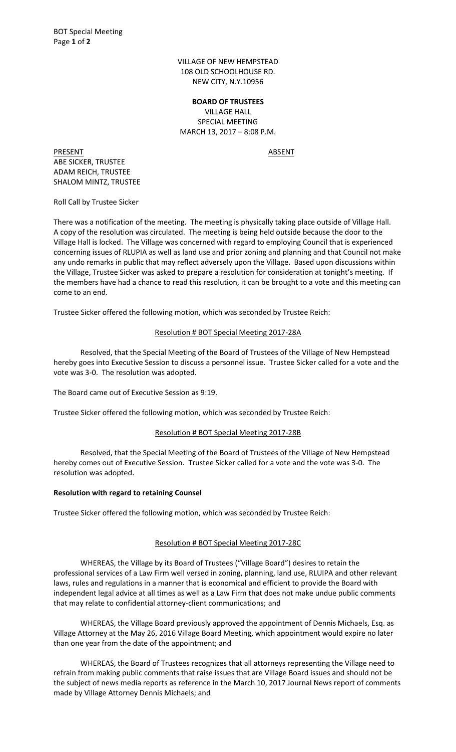VILLAGE OF NEW HEMPSTEAD 108 OLD SCHOOLHOUSE RD. NEW CITY, N.Y.10956

**BOARD OF TRUSTEES** VILLAGE HALL SPECIAL MEETING MARCH 13, 2017 – 8:08 P.M.

PRESENT ABSENT ABE SICKER, TRUSTEE ADAM REICH, TRUSTEE SHALOM MINTZ, TRUSTEE

Roll Call by Trustee Sicker

There was a notification of the meeting. The meeting is physically taking place outside of Village Hall. A copy of the resolution was circulated. The meeting is being held outside because the door to the Village Hall is locked. The Village was concerned with regard to employing Council that is experienced concerning issues of RLUPIA as well as land use and prior zoning and planning and that Council not make any undo remarks in public that may reflect adversely upon the Village. Based upon discussions within the Village, Trustee Sicker was asked to prepare a resolution for consideration at tonight's meeting. If the members have had a chance to read this resolution, it can be brought to a vote and this meeting can come to an end.

Trustee Sicker offered the following motion, which was seconded by Trustee Reich:

## Resolution # BOT Special Meeting 2017-28A

 Resolved, that the Special Meeting of the Board of Trustees of the Village of New Hempstead hereby goes into Executive Session to discuss a personnel issue. Trustee Sicker called for a vote and the vote was 3-0. The resolution was adopted.

The Board came out of Executive Session as 9:19.

Trustee Sicker offered the following motion, which was seconded by Trustee Reich:

## Resolution # BOT Special Meeting 2017-28B

 Resolved, that the Special Meeting of the Board of Trustees of the Village of New Hempstead hereby comes out of Executive Session. Trustee Sicker called for a vote and the vote was 3-0. The resolution was adopted.

## **Resolution with regard to retaining Counsel**

Trustee Sicker offered the following motion, which was seconded by Trustee Reich:

## Resolution # BOT Special Meeting 2017-28C

WHEREAS, the Village by its Board of Trustees ("Village Board") desires to retain the professional services of a Law Firm well versed in zoning, planning, land use, RLUIPA and other relevant laws, rules and regulations in a manner that is economical and efficient to provide the Board with independent legal advice at all times as well as a Law Firm that does not make undue public comments that may relate to confidential attorney-client communications; and

 WHEREAS, the Village Board previously approved the appointment of Dennis Michaels, Esq. as Village Attorney at the May 26, 2016 Village Board Meeting, which appointment would expire no later than one year from the date of the appointment; and

 WHEREAS, the Board of Trustees recognizes that all attorneys representing the Village need to refrain from making public comments that raise issues that are Village Board issues and should not be the subject of news media reports as reference in the March 10, 2017 Journal News report of comments made by Village Attorney Dennis Michaels; and